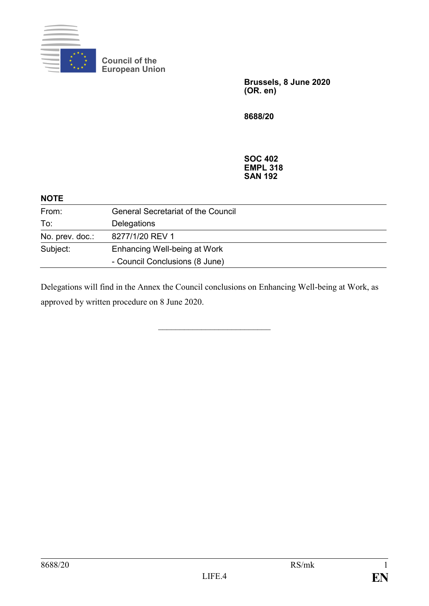

**Council of the European Union**

> **Brussels, 8 June 2020 (OR. en)**

**8688/20**

**SOC 402 EMPL 318 SAN 192**

| <b>NOTE</b>     |                                           |
|-----------------|-------------------------------------------|
| From:           | <b>General Secretariat of the Council</b> |
| To:             | Delegations                               |
| No. prev. doc.: | 8277/1/20 REV 1                           |
| Subject:        | Enhancing Well-being at Work              |
|                 | - Council Conclusions (8 June)            |

Delegations will find in the Annex the Council conclusions on Enhancing Well-being at Work, as approved by written procedure on 8 June 2020.

 $\mathcal{L}=\mathcal{L}=\mathcal{L}=\mathcal{L}=\mathcal{L}=\mathcal{L}=\mathcal{L}=\mathcal{L}=\mathcal{L}=\mathcal{L}=\mathcal{L}=\mathcal{L}=\mathcal{L}=\mathcal{L}=\mathcal{L}=\mathcal{L}=\mathcal{L}=\mathcal{L}=\mathcal{L}=\mathcal{L}=\mathcal{L}=\mathcal{L}=\mathcal{L}=\mathcal{L}=\mathcal{L}=\mathcal{L}=\mathcal{L}=\mathcal{L}=\mathcal{L}=\mathcal{L}=\mathcal{L}=\mathcal{L}=\mathcal{L}=\mathcal{L}=\mathcal{L}=\mathcal{L}=\mathcal{$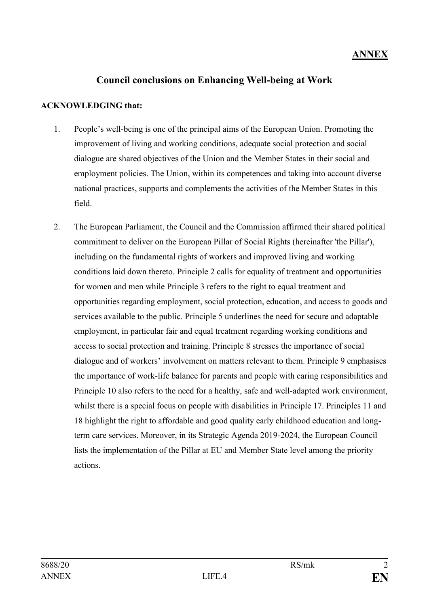## **ANNEX**

### **Council conclusions on Enhancing Well-being at Work**

### **ACKNOWLEDGING that:**

- 1. People's well-being is one of the principal aims of the European Union. Promoting the improvement of living and working conditions, adequate social protection and social dialogue are shared objectives of the Union and the Member States in their social and employment policies. The Union, within its competences and taking into account diverse national practices, supports and complements the activities of the Member States in this field.
- 2. The European Parliament, the Council and the Commission affirmed their shared political commitment to deliver on the European Pillar of Social Rights (hereinafter 'the Pillar'), including on the fundamental rights of workers and improved living and working conditions laid down thereto. Principle 2 calls for equality of treatment and opportunities for wom**e**n and men while Principle 3 refers to the right to equal treatment and opportunities regarding employment, social protection, education, and access to goods and services available to the public. Principle 5 underlines the need for secure and adaptable employment, in particular fair and equal treatment regarding working conditions and access to social protection and training. Principle 8 stresses the importance of social dialogue and of workers' involvement on matters relevant to them. Principle 9 emphasises the importance of work-life balance for parents and people with caring responsibilities and Principle 10 also refers to the need for a healthy, safe and well-adapted work environment, whilst there is a special focus on people with disabilities in Principle 17. Principles 11 and 18 highlight the right to affordable and good quality early childhood education and longterm care services. Moreover, in its Strategic Agenda 2019-2024, the European Council lists the implementation of the Pillar at EU and Member State level among the priority actions.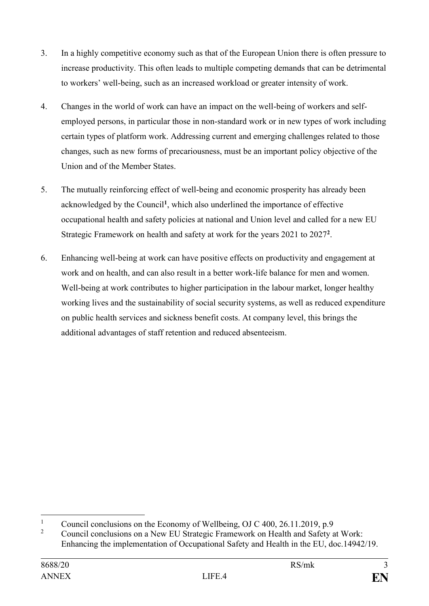- 3. In a highly competitive economy such as that of the European Union there is often pressure to increase productivity. This often leads to multiple competing demands that can be detrimental to workers' well-being, such as an increased workload or greater intensity of work.
- 4. Changes in the world of work can have an impact on the well-being of workers and selfemployed persons, in particular those in non-standard work or in new types of work including certain types of platform work. Addressing current and emerging challenges related to those changes, such as new forms of precariousness, must be an important policy objective of the Union and of the Member States.
- 5. The mutually reinforcing effect of well-being and economic prosperity has already been acknowledged by the Council**<sup>1</sup>** , which also underlined the importance of effective occupational health and safety policies at national and Union level and called for a new EU Strategic Framework on health and safety at work for the years 2021 to 2027**<sup>2</sup>** .
- 6. Enhancing well-being at work can have positive effects on productivity and engagement at work and on health, and can also result in a better work-life balance for men and women. Well-being at work contributes to higher participation in the labour market, longer healthy working lives and the sustainability of social security systems, as well as reduced expenditure on public health services and sickness benefit costs. At company level, this brings the additional advantages of staff retention and reduced absenteeism.

<sup>&</sup>lt;u>.</u> <sup>1</sup> Council conclusions on the Economy of Wellbeing, OJ C 400, 26.11.2019, p.9<br><sup>2</sup> Council conclusions on a New ELL Strategie Framework on Hoalth and Sofety a

<sup>2</sup> Council conclusions on a New EU Strategic Framework on Health and Safety at Work: Enhancing the implementation of Occupational Safety and Health in the EU, doc.14942/19.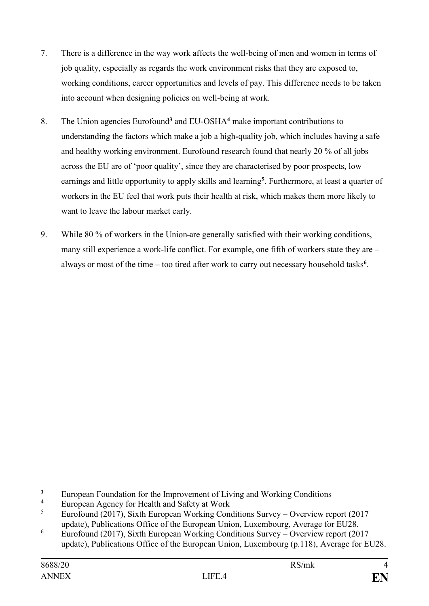- 7. There is a difference in the way work affects the well-being of men and women in terms of job quality, especially as regards the work environment risks that they are exposed to, working conditions, career opportunities and levels of pay. This difference needs to be taken into account when designing policies on well-being at work.
- 8. The Union agencies Eurofound**<sup>3</sup>** and EU-OSHA**<sup>4</sup>** make important contributions to understanding the factors which make a job a high*-*quality job, which includes having a safe and healthy working environment. Eurofound research found that nearly 20 % of all jobs across the EU are of 'poor quality', since they are characterised by poor prospects, low earnings and little opportunity to apply skills and learning**<sup>5</sup>** . Furthermore, at least a quarter of workers in the EU feel that work puts their health at risk, which makes them more likely to want to leave the labour market early.
- 9. While 80 % of workers in the Union are generally satisfied with their working conditions, many still experience a work-life conflict. For example, one fifth of workers state they are – always or most of the time – too tired after work to carry out necessary household tasks**<sup>6</sup>** .

<sup>1</sup> <sup>3</sup> European Foundation for the Improvement of Living and Working Conditions

<sup>&</sup>lt;sup>4</sup> European Agency for Health and Safety at Work<br> $\frac{5}{2}$  European (2017) Sixth European Warking Con

<sup>5</sup> Eurofound (2017), Sixth European Working Conditions Survey – Overview report (2017 update), Publications Office of the European Union, Luxembourg, Average for EU28.

<sup>&</sup>lt;sup>6</sup> Eurofound (2017), Sixth European Working Conditions Survey – Overview report (2017) update), Publications Office of the European Union, Luxembourg (p.118), Average for EU28.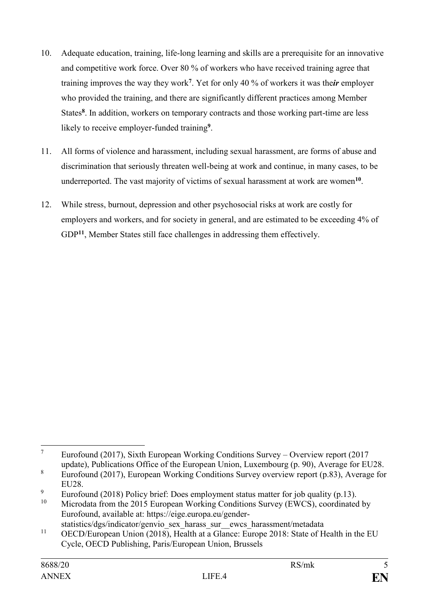- 10. Adequate education, training, life-long learning and skills are a prerequisite for an innovative and competitive work force. Over 80 % of workers who have received training agree that training improves the way they work**<sup>7</sup>** . Yet for only 40 % of workers it was the*ir* employer who provided the training, and there are significantly different practices among Member States<sup>8</sup>. In addition, workers on temporary contracts and those working part-time are less likely to receive employer-funded training**<sup>9</sup>** .
- 11. All forms of violence and harassment, including sexual harassment, are forms of abuse and discrimination that seriously threaten well-being at work and continue, in many cases, to be underreported. The vast majority of victims of sexual harassment at work are women**<sup>10</sup>** .
- 12. While stress, burnout, depression and other psychosocial risks at work are costly for employers and workers, and for society in general, and are estimated to be exceeding 4% of GDP<sup>11</sup>, Member States still face challenges in addressing them effectively.

 $\overline{7}$ <sup>7</sup> Eurofound (2017), Sixth European Working Conditions Survey – Overview report (2017 update), Publications Office of the European Union, Luxembourg (p. 90), Average for EU28.

<sup>8</sup> Eurofound (2017), European Working Conditions Survey overview report (p.83), Average for EU28.

<sup>&</sup>lt;sup>9</sup> Eurofound (2018) Policy brief: Does employment status matter for job quality (p.13).

Microdata from the 2015 European Working Conditions Survey (EWCS), coordinated by Eurofound, available at: [https://eige.europa.eu/gender](https://eige.europa.eu/gender-statistics/dgs/indicator/genvio_sex_harass_sur__ewcs_harassment/metadata)[statistics/dgs/indicator/genvio\\_sex\\_harass\\_sur\\_\\_ewcs\\_harassment/metadata](https://eige.europa.eu/gender-statistics/dgs/indicator/genvio_sex_harass_sur__ewcs_harassment/metadata)

<sup>&</sup>lt;sup>11</sup> OECD/European Union (2018), Health at a Glance: Europe 2018: State of Health in the EU Cycle, OECD Publishing, Paris/European Union, Brussels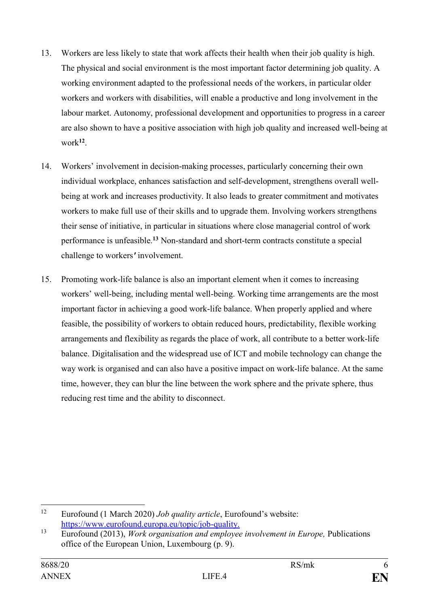- 13. Workers are less likely to state that work affects their health when their job quality is high. The physical and social environment is the most important factor determining job quality. A working environment adapted to the professional needs of the workers, in particular older workers and workers with disabilities, will enable a productive and long involvement in the labour market. Autonomy, professional development and opportunities to progress in a career are also shown to have a positive association with high job quality and increased well-being at work**<sup>12</sup>** .
- 14. Workers' involvement in decision-making processes, particularly concerning their own individual workplace, enhances satisfaction and self-development, strengthens overall wellbeing at work and increases productivity. It also leads to greater commitment and motivates workers to make full use of their skills and to upgrade them. Involving workers strengthens their sense of initiative, in particular in situations where close managerial control of work performance is unfeasible.**<sup>13</sup>** Non-standard and short-term contracts constitute a special challenge to workers*'* involvement.
- 15. Promoting work-life balance is also an important element when it comes to increasing workers' well-being, including mental well-being. Working time arrangements are the most important factor in achieving a good work-life balance. When properly applied and where feasible, the possibility of workers to obtain reduced hours, predictability, flexible working arrangements and flexibility as regards the place of work, all contribute to a better work-life balance. Digitalisation and the widespread use of ICT and mobile technology can change the way work is organised and can also have a positive impact on work-life balance. At the same time, however, they can blur the line between the work sphere and the private sphere, thus reducing rest time and the ability to disconnect.

<sup>12</sup> <sup>12</sup> Eurofound (1 March 2020) *Job quality article*, Eurofound's website: [https://www.eurofound.europa.eu/topic/job-quality.](https://www.eurofound.europa.eu/topic/job-quality)

<sup>13</sup> Eurofound (2013), *Work organisation and employee involvement in Europe,* Publications office of the European Union, Luxembourg (p. 9).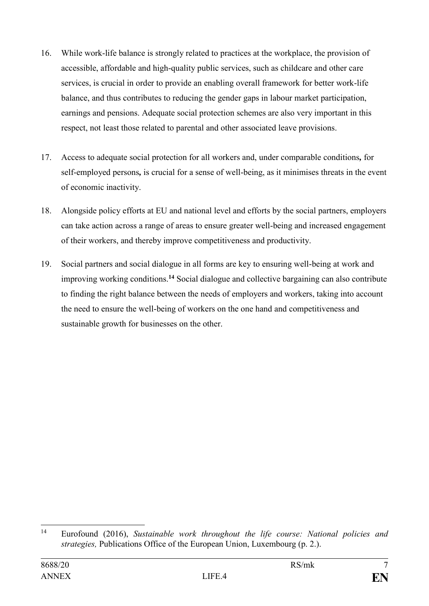- 16. While work-life balance is strongly related to practices at the workplace, the provision of accessible, affordable and high-quality public services, such as childcare and other care services, is crucial in order to provide an enabling overall framework for better work-life balance, and thus contributes to reducing the gender gaps in labour market participation, earnings and pensions. Adequate social protection schemes are also very important in this respect, not least those related to parental and other associated leave provisions.
- 17. Access to adequate social protection for all workers and, under comparable conditions*,* for self-employed persons*,* is crucial for a sense of well-being, as it minimises threats in the event of economic inactivity.
- 18. Alongside policy efforts at EU and national level and efforts by the social partners, employers can take action across a range of areas to ensure greater well-being and increased engagement of their workers, and thereby improve competitiveness and productivity.
- 19. Social partners and social dialogue in all forms are key to ensuring well-being at work and improving working conditions.**<sup>14</sup>** Social dialogue and collective bargaining can also contribute to finding the right balance between the needs of employers and workers, taking into account the need to ensure the well-being of workers on the one hand and competitiveness and sustainable growth for businesses on the other.

 $14$ <sup>14</sup> Eurofound (2016), *Sustainable work throughout the life course: National policies and strategies,* Publications Office of the European Union, Luxembourg (p. 2.).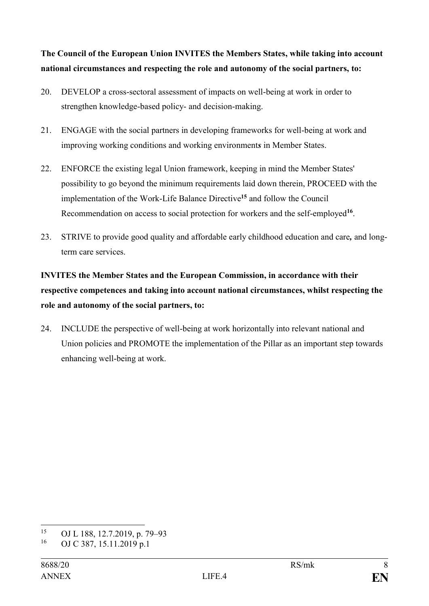**The Council of the European Union INVITES the Members States, while taking into account national circumstances and respecting the role and autonomy of the social partners, to:** 

- 20. DEVELOP a cross-sectoral assessment of impacts on well-being at work in order to strengthen knowledge-based policy- and decision-making.
- 21. ENGAGE with the social partners in developing frameworks for well-being at work and improving working conditions and working environment*s* in Member States.
- 22. ENFORCE the existing legal Union framework, keeping in mind the Member States' possibility to go beyond the minimum requirements laid down therein, PROCEED with the implementation of the Work-Life Balance Directive**<sup>15</sup>** and follow the Council Recommendation on access to social protection for workers and the self-employed**<sup>16</sup>** .
- 23. STRIVE to provide good quality and affordable early childhood education and care*,* and longterm care services.

# **INVITES the Member States and the European Commission, in accordance with their respective competences and taking into account national circumstances, whilst respecting the role and autonomy of the social partners, to:**

24. INCLUDE the perspective of well-being at work horizontally into relevant national and Union policies and PROMOTE the implementation of the Pillar as an important step towards enhancing well-being at work.

<sup>15</sup> <sup>15</sup> OJ L 188, 12.7.2019, p. 79–93

OJ C 387, 15.11.2019 p.1